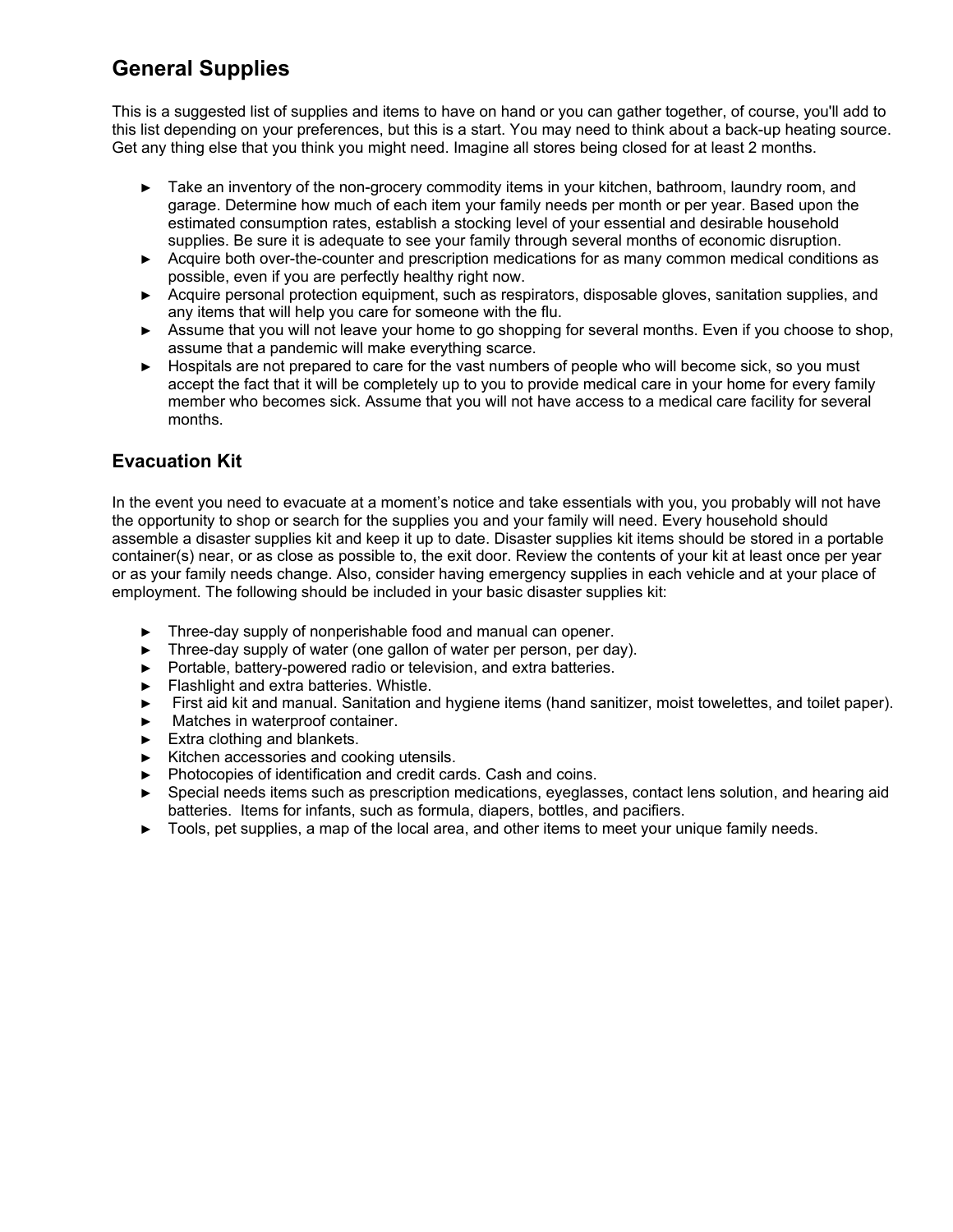## **General Supplies**

This is a suggested list of supplies and items to have on hand or you can gather together, of course, you'll add to this list depending on your preferences, but this is a start. You may need to think about a back-up heating source. Get any thing else that you think you might need. Imagine all stores being closed for at least 2 months.

- ► Take an inventory of the non-grocery commodity items in your kitchen, bathroom, laundry room, and garage. Determine how much of each item your family needs per month or per year. Based upon the estimated consumption rates, establish a stocking level of your essential and desirable household supplies. Be sure it is adequate to see your family through several months of economic disruption.
- ► Acquire both over-the-counter and prescription medications for as many common medical conditions as possible, even if you are perfectly healthy right now.
- ► Acquire personal protection equipment, such as respirators, disposable gloves, sanitation supplies, and any items that will help you care for someone with the flu.
- ► Assume that you will not leave your home to go shopping for several months. Even if you choose to shop, assume that a pandemic will make everything scarce.
- ► Hospitals are not prepared to care for the vast numbers of people who will become sick, so you must accept the fact that it will be completely up to you to provide medical care in your home for every family member who becomes sick. Assume that you will not have access to a medical care facility for several months.

## **Evacuation Kit**

In the event you need to evacuate at a moment's notice and take essentials with you, you probably will not have the opportunity to shop or search for the supplies you and your family will need. Every household should assemble a disaster supplies kit and keep it up to date. Disaster supplies kit items should be stored in a portable container(s) near, or as close as possible to, the exit door. Review the contents of your kit at least once per year or as your family needs change. Also, consider having emergency supplies in each vehicle and at your place of employment. The following should be included in your basic disaster supplies kit:

- ► Three-day supply of nonperishable food and manual can opener.
- ► Three-day supply of water (one gallon of water per person, per day).
- ► Portable, battery-powered radio or television, and extra batteries.
- ► Flashlight and extra batteries. Whistle.
- ► First aid kit and manual. Sanitation and hygiene items (hand sanitizer, moist towelettes, and toilet paper).
- ► Matches in waterproof container.
- ► Extra clothing and blankets.
- ► Kitchen accessories and cooking utensils.
- ► Photocopies of identification and credit cards. Cash and coins.
- ► Special needs items such as prescription medications, eyeglasses, contact lens solution, and hearing aid batteries. Items for infants, such as formula, diapers, bottles, and pacifiers.
- ► Tools, pet supplies, a map of the local area, and other items to meet your unique family needs.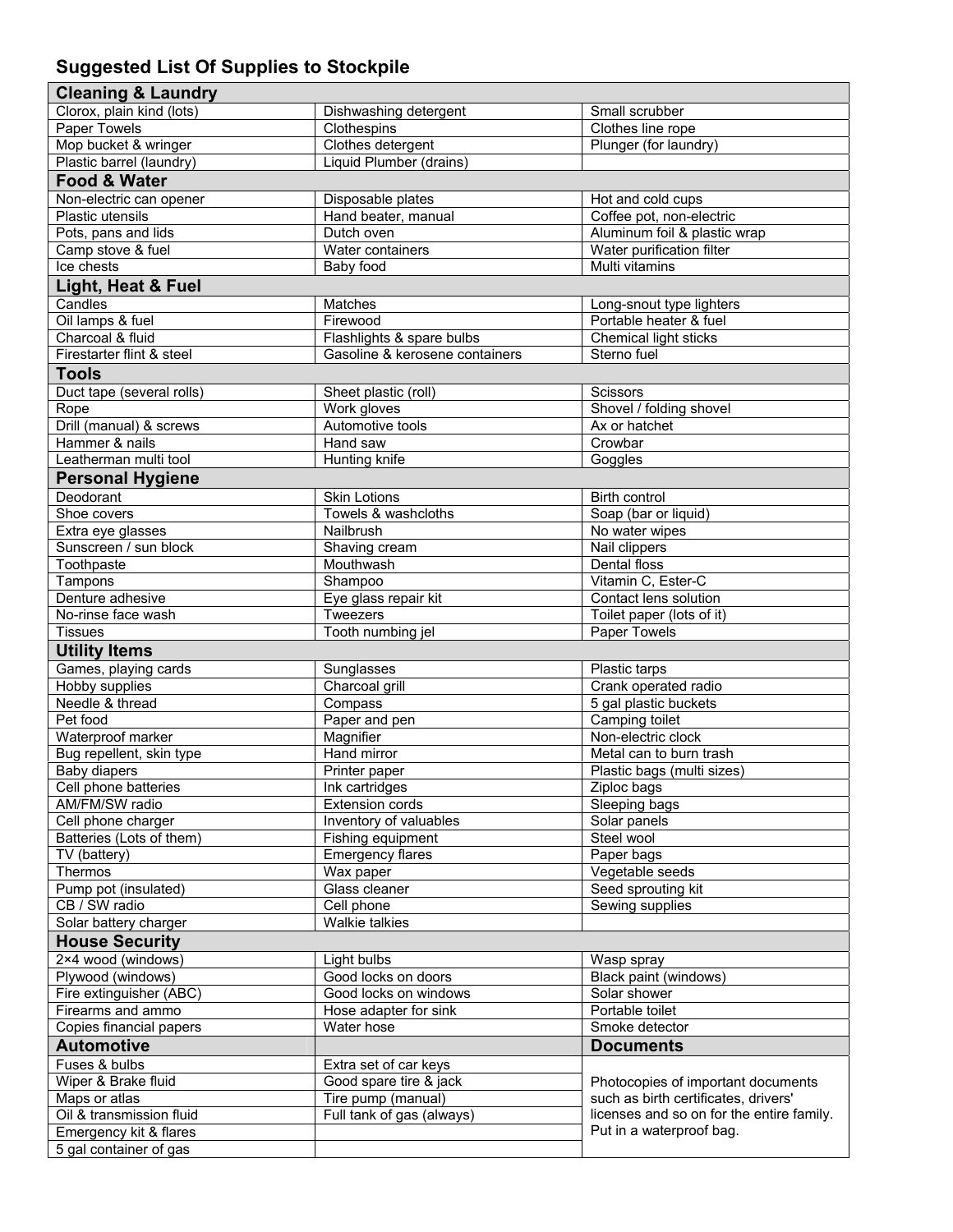## **Suggested List Of Supplies to Stockpile**

| <b>Cleaning &amp; Laundry</b>                    |                                |                                           |
|--------------------------------------------------|--------------------------------|-------------------------------------------|
| Clorox, plain kind (lots)                        | Dishwashing detergent          | Small scrubber                            |
| <b>Paper Towels</b>                              | Clothespins                    | Clothes line rope                         |
| Mop bucket & wringer                             | Clothes detergent              | Plunger (for laundry)                     |
| Plastic barrel (laundry)                         | Liquid Plumber (drains)        |                                           |
| <b>Food &amp; Water</b>                          |                                |                                           |
| Non-electric can opener                          | Disposable plates              | Hot and cold cups                         |
| Plastic utensils                                 | Hand beater, manual            | Coffee pot, non-electric                  |
| Pots, pans and lids                              | Dutch oven                     | Aluminum foil & plastic wrap              |
| Camp stove & fuel                                | Water containers               | Water purification filter                 |
| Ice chests                                       | Baby food                      | Multi vitamins                            |
| Light, Heat & Fuel                               |                                |                                           |
| Candles                                          | Matches                        | Long-snout type lighters                  |
| Oil lamps & fuel                                 | Firewood                       | Portable heater & fuel                    |
| Charcoal & fluid                                 | Flashlights & spare bulbs      | Chemical light sticks                     |
| Firestarter flint & steel                        | Gasoline & kerosene containers | Sterno fuel                               |
| <b>Tools</b>                                     |                                |                                           |
| Duct tape (several rolls)                        | Sheet plastic (roll)           | <b>Scissors</b>                           |
| Rope                                             | Work gloves                    | Shovel / folding shovel                   |
| Drill (manual) & screws                          | Automotive tools               | Ax or hatchet                             |
| Hammer & nails                                   | Hand saw                       | Crowbar                                   |
| Leatherman multi tool                            | Hunting knife                  | Goggles                                   |
| <b>Personal Hygiene</b>                          |                                |                                           |
| Deodorant                                        | <b>Skin Lotions</b>            | Birth control                             |
| Shoe covers                                      | Towels & washcloths            | Soap (bar or liquid)                      |
| Extra eye glasses                                | Nailbrush                      | No water wipes                            |
| Sunscreen / sun block                            | Shaving cream                  | Nail clippers                             |
| Toothpaste                                       | Mouthwash                      | Dental floss                              |
| Tampons                                          | Shampoo                        | Vitamin C, Ester-C                        |
| Denture adhesive                                 | Eye glass repair kit           | Contact lens solution                     |
| No-rinse face wash                               | Tweezers                       | Toilet paper (lots of it)                 |
| Tissues                                          | Tooth numbing jel              | Paper Towels                              |
| <b>Utility Items</b>                             |                                |                                           |
| Games, playing cards                             | Sunglasses                     | Plastic tarps                             |
| <b>Hobby supplies</b>                            | Charcoal grill                 | Crank operated radio                      |
| Needle & thread                                  | Compass                        | 5 gal plastic buckets                     |
| Pet food                                         | Paper and pen                  | Camping toilet                            |
| Waterproof marker                                | Magnifier                      | Non-electric clock                        |
| Bug repellent, skin type                         | Hand mirror                    | Metal can to burn trash                   |
| <b>Baby diapers</b>                              | Printer paper                  | Plastic bags (multi sizes)                |
| Cell phone batteries                             | Ink cartridges                 | ∠iploc bags                               |
| AM/FM/SW radio                                   | <b>Extension cords</b>         | Sleeping bags                             |
| Cell phone charger                               | Inventory of valuables         | Solar panels                              |
| Batteries (Lots of them)                         | Fishing equipment              | Steel wool                                |
| TV (battery)                                     | <b>Emergency flares</b>        | Paper bags                                |
| Thermos                                          | Wax paper                      | Vegetable seeds                           |
| Pump pot (insulated)                             | Glass cleaner                  | Seed sprouting kit                        |
| CB / SW radio                                    | Cell phone                     | Sewing supplies                           |
| Solar battery charger                            | <b>Walkie talkies</b>          |                                           |
| <b>House Security</b>                            |                                |                                           |
| 2×4 wood (windows)                               | Light bulbs                    | Wasp spray                                |
| Plywood (windows)                                | Good locks on doors            | Black paint (windows)                     |
| Fire extinguisher (ABC)                          | Good locks on windows          | Solar shower                              |
| Firearms and ammo                                | Hose adapter for sink          | Portable toilet                           |
| Copies financial papers                          |                                |                                           |
|                                                  | Water hose                     | Smoke detector                            |
| <b>Automotive</b>                                |                                | <b>Documents</b>                          |
| Fuses & bulbs                                    | Extra set of car keys          |                                           |
| Wiper & Brake fluid                              | Good spare tire & jack         | Photocopies of important documents        |
| Maps or atlas                                    | Tire pump (manual)             | such as birth certificates, drivers'      |
| Oil & transmission fluid                         | Full tank of gas (always)      | licenses and so on for the entire family. |
| Emergency kit & flares<br>5 gal container of gas |                                | Put in a waterproof bag.                  |